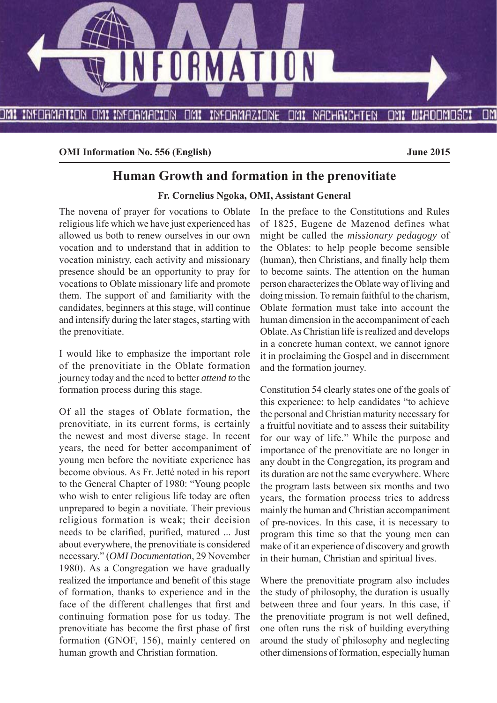

**OMI Information No. 556 (English) June 2015** 

# **Human Growth and formation in the prenovitiate**

#### **Fr. Cornelius Ngoka, OMI, Assistant General**

The novena of prayer for vocations to Oblate religious life which we have just experienced has allowed us both to renew ourselves in our own vocation and to understand that in addition to vocation ministry, each activity and missionary presence should be an opportunity to pray for vocations to Oblate missionary life and promote them. The support of and familiarity with the candidates, beginners at this stage, will continue and intensify during the later stages, starting with the prenovitiate.

I would like to emphasize the important role of the prenovitiate in the Oblate formation journey today and the need to better *attend to* the formation process during this stage.

Of all the stages of Oblate formation, the prenovitiate, in its current forms, is certainly the newest and most diverse stage. In recent years, the need for better accompaniment of young men before the novitiate experience has become obvious. As Fr. Jetté noted in his report to the General Chapter of 1980: "Young people who wish to enter religious life today are often unprepared to begin a novitiate. Their previous religious formation is weak; their decision needs to be clarified, purified, matured ... Just about everywhere, the prenovitiate is considered necessary." (*OMI Documentation*, 29 November 1980). As a Congregation we have gradually realized the importance and benefit of this stage of formation, thanks to experience and in the face of the different challenges that first and continuing formation pose for us today. The prenovitiate has become the first phase of first formation (GNOF, 156), mainly centered on human growth and Christian formation.

In the preface to the Constitutions and Rules of 1825, Eugene de Mazenod defines what might be called the *missionary pedagogy* of the Oblates: to help people become sensible (human), then Christians, and finally help them to become saints. The attention on the human person characterizes the Oblate way of living and doing mission. To remain faithful to the charism, Oblate formation must take into account the human dimension in the accompaniment of each Oblate. As Christian life is realized and develops in a concrete human context, we cannot ignore it in proclaiming the Gospel and in discernment and the formation journey.

Constitution 54 clearly states one of the goals of this experience: to help candidates "to achieve the personal and Christian maturity necessary for a fruitful novitiate and to assess their suitability for our way of life." While the purpose and importance of the prenovitiate are no longer in any doubt in the Congregation, its program and its duration are not the same everywhere. Where the program lasts between six months and two years, the formation process tries to address mainly the human and Christian accompaniment of pre-novices. In this case, it is necessary to program this time so that the young men can make of it an experience of discovery and growth in their human, Christian and spiritual lives.

Where the prenovitiate program also includes the study of philosophy, the duration is usually between three and four years. In this case, if the prenovitiate program is not well defined, one often runs the risk of building everything around the study of philosophy and neglecting other dimensions of formation, especially human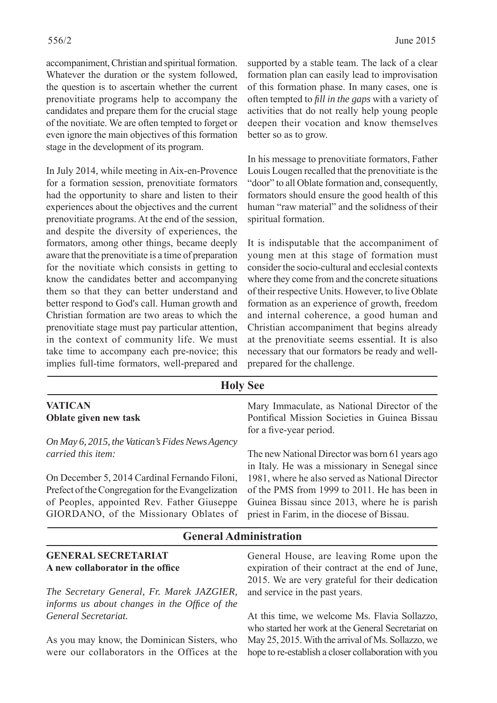accompaniment, Christian and spiritual formation. Whatever the duration or the system followed, the question is to ascertain whether the current prenovitiate programs help to accompany the candidates and prepare them for the crucial stage of the novitiate. We are often tempted to forget or even ignore the main objectives of this formation stage in the development of its program.

In July 2014, while meeting in Aix-en-Provence for a formation session, prenovitiate formators had the opportunity to share and listen to their experiences about the objectives and the current prenovitiate programs. At the end of the session, and despite the diversity of experiences, the formators, among other things, became deeply aware that the prenovitiate is a time of preparation for the novitiate which consists in getting to know the candidates better and accompanying them so that they can better understand and better respond to God's call. Human growth and Christian formation are two areas to which the prenovitiate stage must pay particular attention, in the context of community life. We must take time to accompany each pre-novice; this implies full-time formators, well-prepared and supported by a stable team. The lack of a clear formation plan can easily lead to improvisation of this formation phase. In many cases, one is often tempted to *fill in the gaps* with a variety of activities that do not really help young people deepen their vocation and know themselves better so as to grow.

In his message to prenovitiate formators, Father Louis Lougen recalled that the prenovitiate is the "door" to all Oblate formation and, consequently, formators should ensure the good health of this human "raw material" and the solidness of their spiritual formation.

It is indisputable that the accompaniment of young men at this stage of formation must consider the socio-cultural and ecclesial contexts where they come from and the concrete situations of their respective Units. However, to live Oblate formation as an experience of growth, freedom and internal coherence, a good human and Christian accompaniment that begins already at the prenovitiate seems essential. It is also necessary that our formators be ready and wellprepared for the challenge.

| <b>Holy See</b>                                                                                                                                                                             |                                                                                                                                                                                               |  |  |
|---------------------------------------------------------------------------------------------------------------------------------------------------------------------------------------------|-----------------------------------------------------------------------------------------------------------------------------------------------------------------------------------------------|--|--|
| <b>VATICAN</b><br>Oblate given new task                                                                                                                                                     | Mary Immaculate, as National Director of the<br>Pontifical Mission Societies in Guinea Bissau<br>for a five-year period.                                                                      |  |  |
| On May 6, 2015, the Vatican's Fides News Agency<br>carried this item:                                                                                                                       | The new National Director was born 61 years ago<br>in Italy. He was a missionary in Senegal since                                                                                             |  |  |
| On December 5, 2014 Cardinal Fernando Filoni,<br>Prefect of the Congregation for the Evangelization<br>of Peoples, appointed Rev. Father Giuseppe<br>GIORDANO, of the Missionary Oblates of | 1981, where he also served as National Director<br>of the PMS from 1999 to 2011. He has been in<br>Guinea Bissau since 2013, where he is parish<br>priest in Farim, in the diocese of Bissau. |  |  |
|                                                                                                                                                                                             |                                                                                                                                                                                               |  |  |

# **General Administration**

| <b>GENERAL SECRETARIAT</b><br>A new collaborator in the office | General House, are leaving Rome upon the<br>expiration of their contract at the end of June, |
|----------------------------------------------------------------|----------------------------------------------------------------------------------------------|
|                                                                | 2015. We are very grateful for their dedication                                              |
| The Secretary General, Fr. Marek JAZGIER,                      | and service in the past years.                                                               |
| informs us about changes in the Office of the                  |                                                                                              |
| General Secretariat.                                           | At this time, we welcome Ms. Flavia Sollazzo,                                                |
|                                                                | who started her work at the General Secretariat on                                           |
| As you may know, the Dominican Sisters, who                    | May 25, 2015. With the arrival of Ms. Sollazzo, we                                           |
| were our collaborators in the Offices at the                   | hope to re-establish a closer collaboration with you                                         |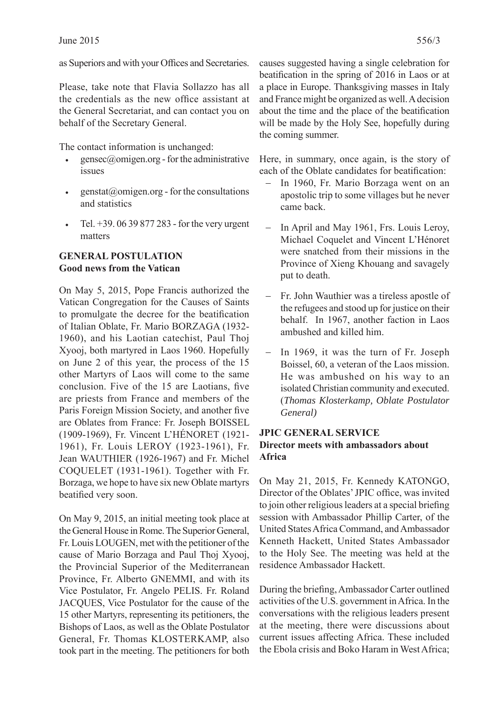as Superiors and with your Offices and Secretaries.

Please, take note that Flavia Sollazzo has all the credentials as the new office assistant at the General Secretariat, and can contact you on behalf of the Secretary General.

The contact information is unchanged:

- $gensec@omigen.org$  for the administrative issues
- $genstat@omigen.org$  for the consultations and statistics
- Tel. +39. 06 39 877 283 for the very urgent matters

### **GENERAL POSTULATION Good news from the Vatican**

On May 5, 2015, Pope Francis authorized the Vatican Congregation for the Causes of Saints to promulgate the decree for the beatification of Italian Oblate, Fr. Mario BORZAGA (1932- 1960), and his Laotian catechist, Paul Thoj Xyooj, both martyred in Laos 1960. Hopefully on June 2 of this year, the process of the 15 other Martyrs of Laos will come to the same conclusion. Five of the 15 are Laotians, five are priests from France and members of the Paris Foreign Mission Society, and another five are Oblates from France: Fr. Joseph BOISSEL (1909-1969), Fr. Vincent L'HÉNORET (1921- 1961), Fr. Louis LEROY (1923-1961), Fr. Jean WAUTHIER (1926-1967) and Fr. Michel COQUELET (1931-1961). Together with Fr. Borzaga, we hope to have six new Oblate martyrs beatified very soon.

On May 9, 2015, an initial meeting took place at the General House in Rome. The Superior General, Fr. Louis LOUGEN, met with the petitioner of the cause of Mario Borzaga and Paul Thoj Xyooj, the Provincial Superior of the Mediterranean Province, Fr. Alberto GNEMMI, and with its Vice Postulator, Fr. Angelo PELIS. Fr. Roland JACQUES, Vice Postulator for the cause of the 15 other Martyrs, representing its petitioners, the Bishops of Laos, as well as the Oblate Postulator General, Fr. Thomas KLOSTERKAMP, also took part in the meeting. The petitioners for both

causes suggested having a single celebration for beatification in the spring of 2016 in Laos or at a place in Europe. Thanksgiving masses in Italy and France might be organized as well. A decision about the time and the place of the beatification will be made by the Holy See, hopefully during the coming summer.

Here, in summary, once again, is the story of each of the Oblate candidates for beatification:

- In 1960, Fr. Mario Borzaga went on an apostolic trip to some villages but he never came back.
- In April and May 1961, Frs. Louis Leroy, Michael Coquelet and Vincent L'Hénoret were snatched from their missions in the Province of Xieng Khouang and savagely put to death.
- Fr. John Wauthier was a tireless apostle of the refugees and stood up for justice on their behalf. In 1967, another faction in Laos ambushed and killed him.
- In 1969, it was the turn of Fr. Joseph Boissel, 60, a veteran of the Laos mission. He was ambushed on his way to an isolated Christian community and executed. (*Thomas Klosterkamp, Oblate Postulator General)*

### **JPIC GENERAL SERVICE Director meets with ambassadors about Africa**

On May 21, 2015, Fr. Kennedy KATONGO, Director of the Oblates' JPIC office, was invited to join other religious leaders at a special briefing session with Ambassador Phillip Carter, of the United States Africa Command, and Ambassador Kenneth Hackett, United States Ambassador to the Holy See. The meeting was held at the residence Ambassador Hackett.

During the briefing, Ambassador Carter outlined activities of the U.S. government in Africa. In the conversations with the religious leaders present at the meeting, there were discussions about current issues affecting Africa. These included the Ebola crisis and Boko Haram in West Africa;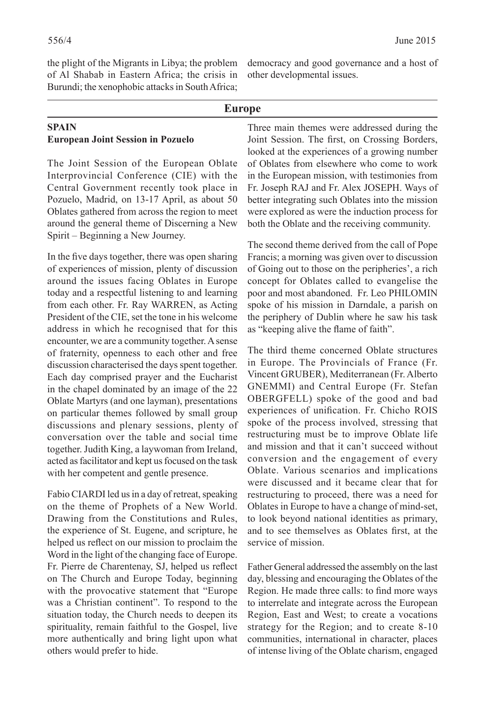the plight of the Migrants in Libya; the problem of Al Shabab in Eastern Africa; the crisis in Burundi; the xenophobic attacks in South Africa; democracy and good governance and a host of other developmental issues.

#### **Europe**

#### **SPAIN European Joint Session in Pozuelo**

The Joint Session of the European Oblate Interprovincial Conference (CIE) with the Central Government recently took place in Pozuelo, Madrid, on 13-17 April, as about 50 Oblates gathered from across the region to meet around the general theme of Discerning a New Spirit – Beginning a New Journey.

In the five days together, there was open sharing of experiences of mission, plenty of discussion around the issues facing Oblates in Europe today and a respectful listening to and learning from each other. Fr. Ray WARREN, as Acting President of the CIE, set the tone in his welcome address in which he recognised that for this encounter, we are a community together. A sense of fraternity, openness to each other and free discussion characterised the days spent together. Each day comprised prayer and the Eucharist in the chapel dominated by an image of the 22 Oblate Martyrs (and one layman), presentations on particular themes followed by small group discussions and plenary sessions, plenty of conversation over the table and social time together. Judith King, a laywoman from Ireland, acted as facilitator and kept us focused on the task with her competent and gentle presence.

Fabio CIARDI led us in a day of retreat, speaking on the theme of Prophets of a New World. Drawing from the Constitutions and Rules, the experience of St. Eugene, and scripture, he helped us reflect on our mission to proclaim the Word in the light of the changing face of Europe. Fr. Pierre de Charentenay, SJ, helped us reflect on The Church and Europe Today, beginning with the provocative statement that "Europe" was a Christian continent". To respond to the situation today, the Church needs to deepen its spirituality, remain faithful to the Gospel, live more authentically and bring light upon what others would prefer to hide.

Three main themes were addressed during the Joint Session. The first, on Crossing Borders, looked at the experiences of a growing number of Oblates from elsewhere who come to work in the European mission, with testimonies from Fr. Joseph RAJ and Fr. Alex JOSEPH. Ways of better integrating such Oblates into the mission were explored as were the induction process for both the Oblate and the receiving community.

The second theme derived from the call of Pope Francis; a morning was given over to discussion of Going out to those on the peripheries', a rich concept for Oblates called to evangelise the poor and most abandoned. Fr. Leo PHILOMIN spoke of his mission in Darndale, a parish on the periphery of Dublin where he saw his task as "keeping alive the flame of faith".

The third theme concerned Oblate structures in Europe. The Provincials of France (Fr. Vincent GRUBER), Mediterranean (Fr. Alberto GNEMMI) and Central Europe (Fr. Stefan OBERGFELL) spoke of the good and bad experiences of unification. Fr. Chicho ROIS spoke of the process involved, stressing that restructuring must be to improve Oblate life and mission and that it can't succeed without conversion and the engagement of every Oblate. Various scenarios and implications were discussed and it became clear that for restructuring to proceed, there was a need for Oblates in Europe to have a change of mind-set, to look beyond national identities as primary, and to see themselves as Oblates first, at the service of mission.

Father General addressed the assembly on the last day, blessing and encouraging the Oblates of the Region. He made three calls: to find more ways to interrelate and integrate across the European Region, East and West; to create a vocations strategy for the Region; and to create 8-10 communities, international in character, places of intense living of the Oblate charism, engaged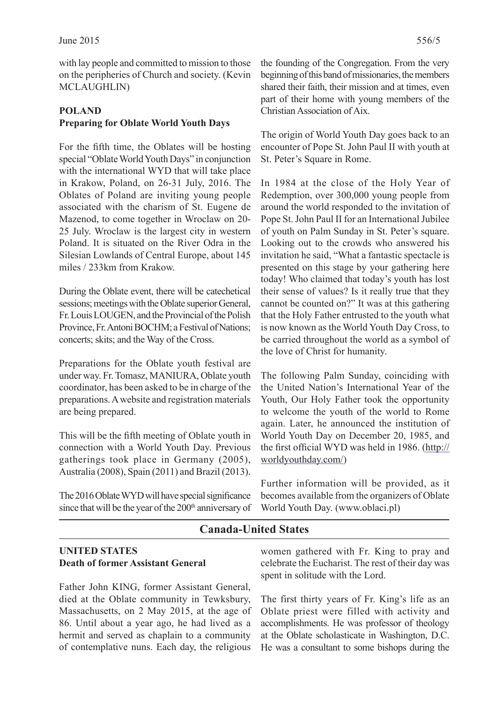with lay people and committed to mission to those on the peripheries of Church and society. (Kevin MCLAUGHLIN)

# **POLAND Preparing for Oblate World Youth Days**

For the fifth time, the Oblates will be hosting special "Oblate World Youth Days" in conjunction with the international WYD that will take place in Krakow, Poland, on 26-31 July, 2016. The Oblates of Poland are inviting young people associated with the charism of St. Eugene de Mazenod, to come together in Wroclaw on 20- 25 July. Wroclaw is the largest city in western Poland. It is situated on the River Odra in the Silesian Lowlands of Central Europe, about 145 miles / 233km from Krakow.

During the Oblate event, there will be catechetical sessions; meetings with the Oblate superior General, Fr. Louis LOUGEN, and the Provincial of the Polish Province, Fr. Antoni BOCHM; a Festival of Nations; concerts; skits; and the Way of the Cross.

Preparations for the Oblate youth festival are under way. Fr. Tomasz, MANIURA, Oblate youth coordinator, has been asked to be in charge of the preparations. A website and registration materials are being prepared.

This will be the fifth meeting of Oblate youth in connection with a World Youth Day. Previous gatherings took place in Germany (2005), Australia (2008), Spain (2011) and Brazil (2013).

The 2016 Oblate WYD will have special significance since that will be the year of the 200<sup>th</sup> anniversary of

the founding of the Congregation. From the very beginning of this band of missionaries, the members shared their faith, their mission and at times, even part of their home with young members of the Christian Association of Aix.

The origin of World Youth Day goes back to an encounter of Pope St. John Paul II with youth at St. Peter's Square in Rome.

In 1984 at the close of the Holy Year of Redemption, over 300,000 young people from around the world responded to the invitation of Pope St. John Paul II for an International Jubilee of youth on Palm Sunday in St. Peter's square. Looking out to the crowds who answered his invitation he said, "What a fantastic spectacle is presented on this stage by your gathering here today! Who claimed that today's youth has lost their sense of values? Is it really true that they cannot be counted on?" It was at this gathering that the Holy Father entrusted to the youth what is now known as the World Youth Day Cross, to be carried throughout the world as a symbol of the love of Christ for humanity.

The following Palm Sunday, coinciding with the United Nation's International Year of the Youth, Our Holy Father took the opportunity to welcome the youth of the world to Rome again. Later, he announced the institution of World Youth Day on December 20, 1985, and the first official WYD was held in 1986. (http:// worldyouthday.com/)

Further information will be provided, as it becomes available from the organizers of Oblate World Youth Day. (www.oblaci.pl)

# **Canada-United States**

### **UNITED STATES Death of former Assistant General**

Father John KING, former Assistant General, died at the Oblate community in Tewksbury, Massachusetts, on 2 May 2015, at the age of 86. Until about a year ago, he had lived as a hermit and served as chaplain to a community of contemplative nuns. Each day, the religious women gathered with Fr. King to pray and celebrate the Eucharist. The rest of their day was spent in solitude with the Lord.

The first thirty years of Fr. King's life as an Oblate priest were filled with activity and accomplishments. He was professor of theology at the Oblate scholasticate in Washington, D.C. He was a consultant to some bishops during the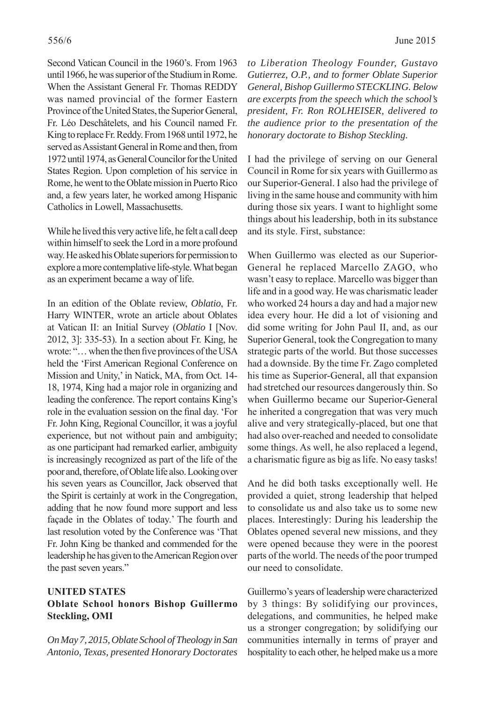Second Vatican Council in the 1960's. From 1963 until 1966, he was superior of the Studium in Rome. When the Assistant General Fr. Thomas REDDY was named provincial of the former Eastern Province of the United States, the Superior General, Fr. Léo Deschâtelets, and his Council named Fr. King to replace Fr. Reddy. From 1968 until 1972, he served as Assistant General in Rome and then, from 1972 until 1974, as General Councilor for the United States Region. Upon completion of his service in Rome, he went to the Oblate mission in Puerto Rico and, a few years later, he worked among Hispanic Catholics in Lowell, Massachusetts.

While he lived this very active life, he felt a call deep within himself to seek the Lord in a more profound way. He asked his Oblate superiors for permission to explore a more contemplative life-style. What began as an experiment became a way of life.

In an edition of the Oblate review, *Oblatio*, Fr. Harry WINTER, wrote an article about Oblates at Vatican II: an Initial Survey (*Oblatio* I [Nov. 2012, 3]: 335-53). In a section about Fr. King, he wrote: "... when the then five provinces of the USA held the 'First American Regional Conference on Mission and Unity,' in Natick, MA, from Oct. 14- 18, 1974, King had a major role in organizing and leading the conference. The report contains King's role in the evaluation session on the final day. 'For Fr. John King, Regional Councillor, it was a joyful experience, but not without pain and ambiguity; as one participant had remarked earlier, ambiguity is increasingly recognized as part of the life of the poor and, therefore, of Oblate life also. Looking over his seven years as Councillor, Jack observed that the Spirit is certainly at work in the Congregation, adding that he now found more support and less façade in the Oblates of today.' The fourth and last resolution voted by the Conference was 'That Fr. John King be thanked and commended for the leadership he has given to the American Region over the past seven years."

#### **UNITED STATES Oblate School honors Bishop Guillermo Steckling, OMI**

*On May 7, 2015, Oblate School of Theology in San Antonio, Texas, presented Honorary Doctorates*  *to Liberation Theology Founder, Gustavo Gutierrez, O.P., and to former Oblate Superior General, Bishop Guillermo STECKLING. Below are excerpts from the speech which the school's president, Fr. Ron ROLHEISER, delivered to the audience prior to the presentation of the honorary doctorate to Bishop Steckling.* 

I had the privilege of serving on our General Council in Rome for six years with Guillermo as our Superior-General. I also had the privilege of living in the same house and community with him during those six years. I want to highlight some things about his leadership, both in its substance and its style. First, substance:

When Guillermo was elected as our Superior-General he replaced Marcello ZAGO, who wasn't easy to replace. Marcello was bigger than life and in a good way. He was charismatic leader who worked 24 hours a day and had a major new idea every hour. He did a lot of visioning and did some writing for John Paul II, and, as our Superior General, took the Congregation to many strategic parts of the world. But those successes had a downside. By the time Fr. Zago completed his time as Superior-General, all that expansion had stretched our resources dangerously thin. So when Guillermo became our Superior-General he inherited a congregation that was very much alive and very strategically-placed, but one that had also over-reached and needed to consolidate some things. As well, he also replaced a legend, a charismatic figure as big as life. No easy tasks!

And he did both tasks exceptionally well. He provided a quiet, strong leadership that helped to consolidate us and also take us to some new places. Interestingly: During his leadership the Oblates opened several new missions, and they were opened because they were in the poorest parts of the world. The needs of the poor trumped our need to consolidate.

Guillermo's years of leadership were characterized by 3 things: By solidifying our provinces, delegations, and communities, he helped make us a stronger congregation; by solidifying our communities internally in terms of prayer and hospitality to each other, he helped make us a more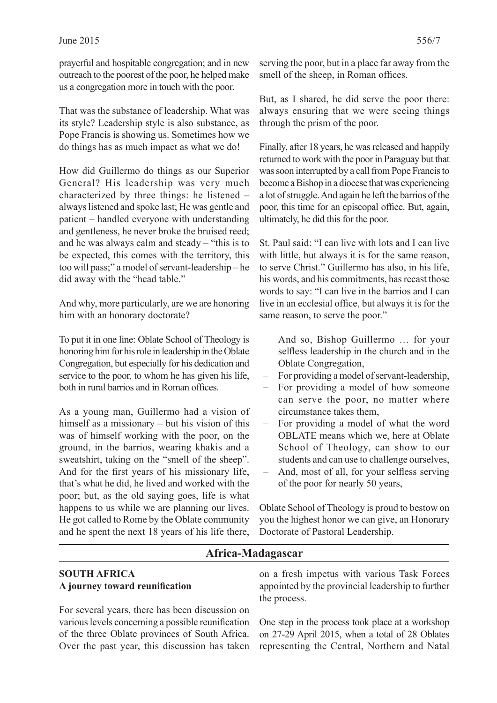prayerful and hospitable congregation; and in new outreach to the poorest of the poor, he helped make us a congregation more in touch with the poor.

That was the substance of leadership. What was its style? Leadership style is also substance, as Pope Francis is showing us. Sometimes how we do things has as much impact as what we do!

How did Guillermo do things as our Superior General? His leadership was very much characterized by three things: he listened – always listened and spoke last; He was gentle and patient – handled everyone with understanding and gentleness, he never broke the bruised reed; and he was always calm and steady – "this is to be expected, this comes with the territory, this too will pass;" a model of servant-leadership – he did away with the "head table."

And why, more particularly, are we are honoring him with an honorary doctorate?

To put it in one line: Oblate School of Theology is honoring him for his role in leadership in the Oblate Congregation, but especially for his dedication and service to the poor, to whom he has given his life, both in rural barrios and in Roman offices

As a young man, Guillermo had a vision of himself as a missionary – but his vision of this was of himself working with the poor, on the ground, in the barrios, wearing khakis and a sweatshirt, taking on the "smell of the sheep". And for the first years of his missionary life, that's what he did, he lived and worked with the poor; but, as the old saying goes, life is what happens to us while we are planning our lives. He got called to Rome by the Oblate community and he spent the next 18 years of his life there,

serving the poor, but in a place far away from the smell of the sheep, in Roman offices.

But, as I shared, he did serve the poor there: always ensuring that we were seeing things through the prism of the poor.

Finally, after 18 years, he was released and happily returned to work with the poor in Paraguay but that was soon interrupted by a call from Pope Francis to become a Bishop in a diocese that was experiencing a lot of struggle. And again he left the barrios of the poor, this time for an episcopal office. But, again, ultimately, he did this for the poor.

St. Paul said: "I can live with lots and I can live with little, but always it is for the same reason, to serve Christ." Guillermo has also, in his life, his words, and his commitments, has recast those words to say: "I can live in the barrios and I can live in an ecclesial office, but always it is for the same reason, to serve the poor."

- And so, Bishop Guillermo … for your selfless leadership in the church and in the Oblate Congregation,
- For providing a model of servant-leadership,
- For providing a model of how someone can serve the poor, no matter where circumstance takes them,
- For providing a model of what the word OBLATE means which we, here at Oblate School of Theology, can show to our students and can use to challenge ourselves,
- And, most of all, for your selfless serving of the poor for nearly 50 years,

Oblate School of Theology is proud to bestow on you the highest honor we can give, an Honorary Doctorate of Pastoral Leadership.

# **Africa-Madagascar**

### **SOUTH AFRICA A** journey toward reunification

For several years, there has been discussion on various levels concerning a possible reunification of the three Oblate provinces of South Africa. Over the past year, this discussion has taken

on a fresh impetus with various Task Forces appointed by the provincial leadership to further the process.

One step in the process took place at a workshop on 27-29 April 2015, when a total of 28 Oblates representing the Central, Northern and Natal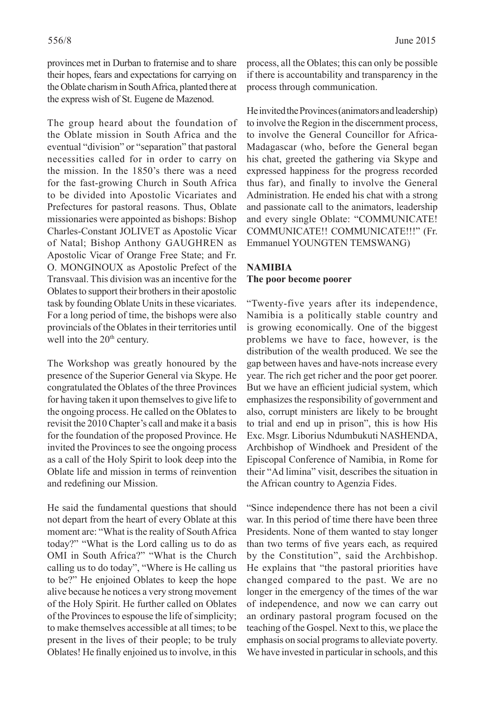provinces met in Durban to fraternise and to share their hopes, fears and expectations for carrying on the Oblate charism in South Africa, planted there at the express wish of St. Eugene de Mazenod.

The group heard about the foundation of the Oblate mission in South Africa and the eventual "division" or "separation" that pastoral necessities called for in order to carry on the mission. In the 1850's there was a need for the fast-growing Church in South Africa to be divided into Apostolic Vicariates and Prefectures for pastoral reasons. Thus, Oblate missionaries were appointed as bishops: Bishop Charles-Constant JOLIVET as Apostolic Vicar of Natal; Bishop Anthony GAUGHREN as Apostolic Vicar of Orange Free State; and Fr. O. MONGINOUX as Apostolic Prefect of the Transvaal. This division was an incentive for the Oblates to support their brothers in their apostolic task by founding Oblate Units in these vicariates. For a long period of time, the bishops were also provincials of the Oblates in their territories until well into the 20<sup>th</sup> century.

The Workshop was greatly honoured by the presence of the Superior General via Skype. He congratulated the Oblates of the three Provinces for having taken it upon themselves to give life to the ongoing process. He called on the Oblates to revisit the 2010 Chapter's call and make it a basis for the foundation of the proposed Province. He invited the Provinces to see the ongoing process as a call of the Holy Spirit to look deep into the Oblate life and mission in terms of reinvention and redefining our Mission.

He said the fundamental questions that should not depart from the heart of every Oblate at this moment are: "What is the reality of South Africa today?" "What is the Lord calling us to do as OMI in South Africa?" "What is the Church calling us to do today", "Where is He calling us to be?" He enjoined Oblates to keep the hope alive because he notices a very strong movement of the Holy Spirit. He further called on Oblates of the Provinces to espouse the life of simplicity; to make themselves accessible at all times; to be present in the lives of their people; to be truly Oblates! He finally enjoined us to involve, in this process, all the Oblates; this can only be possible if there is accountability and transparency in the process through communication.

He invited the Provinces (animators and leadership) to involve the Region in the discernment process, to involve the General Councillor for Africa-Madagascar (who, before the General began his chat, greeted the gathering via Skype and expressed happiness for the progress recorded thus far), and finally to involve the General Administration. He ended his chat with a strong and passionate call to the animators, leadership and every single Oblate: "COMMUNICATE! COMMUNICATE!! COMMUNICATE!!!" (Fr. Emmanuel YOUNGTEN TEMSWANG)

#### **NAMIBIA The poor become poorer**

"Twenty-five years after its independence, Namibia is a politically stable country and is growing economically. One of the biggest problems we have to face, however, is the distribution of the wealth produced. We see the gap between haves and have-nots increase every year. The rich get richer and the poor get poorer. But we have an efficient judicial system, which emphasizes the responsibility of government and also, corrupt ministers are likely to be brought to trial and end up in prison", this is how His Exc. Msgr. Liborius Ndumbukuti NASHENDA, Archbishop of Windhoek and President of the Episcopal Conference of Namibia, in Rome for their "Ad limina" visit, describes the situation in the African country to Agenzia Fides.

"Since independence there has not been a civil war. In this period of time there have been three Presidents. None of them wanted to stay longer than two terms of five years each, as required by the Constitution", said the Archbishop. He explains that "the pastoral priorities have changed compared to the past. We are no longer in the emergency of the times of the war of independence, and now we can carry out an ordinary pastoral program focused on the teaching of the Gospel. Next to this, we place the emphasis on social programs to alleviate poverty. We have invested in particular in schools, and this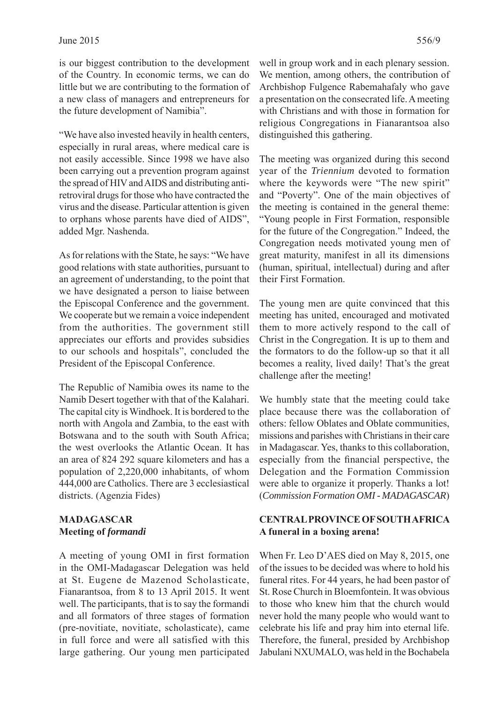is our biggest contribution to the development of the Country. In economic terms, we can do little but we are contributing to the formation of a new class of managers and entrepreneurs for the future development of Namibia".

"We have also invested heavily in health centers, especially in rural areas, where medical care is not easily accessible. Since 1998 we have also been carrying out a prevention program against the spread of HIV and AIDS and distributing antiretroviral drugs for those who have contracted the virus and the disease. Particular attention is given to orphans whose parents have died of AIDS", added Mgr. Nashenda.

As for relations with the State, he says: "We have good relations with state authorities, pursuant to an agreement of understanding, to the point that we have designated a person to liaise between the Episcopal Conference and the government. We cooperate but we remain a voice independent from the authorities. The government still appreciates our efforts and provides subsidies to our schools and hospitals", concluded the President of the Episcopal Conference.

The Republic of Namibia owes its name to the Namib Desert together with that of the Kalahari. The capital city is Windhoek. It is bordered to the north with Angola and Zambia, to the east with Botswana and to the south with South Africa; the west overlooks the Atlantic Ocean. It has an area of 824 292 square kilometers and has a population of 2,220,000 inhabitants, of whom 444,000 are Catholics. There are 3 ecclesiastical districts. (Agenzia Fides)

#### **MADAGASCAR Meeting of** *formandi*

A meeting of young OMI in first formation in the OMI-Madagascar Delegation was held at St. Eugene de Mazenod Scholasticate, Fianarantsoa, from 8 to 13 April 2015. It went well. The participants, that is to say the formandi and all formators of three stages of formation (pre-novitiate, novitiate, scholasticate), came in full force and were all satisfied with this large gathering. Our young men participated

well in group work and in each plenary session. We mention, among others, the contribution of Archbishop Fulgence Rabemahafaly who gave a presentation on the consecrated life. A meeting with Christians and with those in formation for religious Congregations in Fianarantsoa also distinguished this gathering.

The meeting was organized during this second year of the *Triennium* devoted to formation where the keywords were "The new spirit" and "Poverty". One of the main objectives of the meeting is contained in the general theme: "Young people in First Formation, responsible for the future of the Congregation." Indeed, the Congregation needs motivated young men of great maturity, manifest in all its dimensions (human, spiritual, intellectual) during and after their First Formation.

The young men are quite convinced that this meeting has united, encouraged and motivated them to more actively respond to the call of Christ in the Congregation. It is up to them and the formators to do the follow-up so that it all becomes a reality, lived daily! That's the great challenge after the meeting!

We humbly state that the meeting could take place because there was the collaboration of others: fellow Oblates and Oblate communities, missions and parishes with Christians in their care in Madagascar. Yes, thanks to this collaboration, especially from the financial perspective, the Delegation and the Formation Commission were able to organize it properly. Thanks a lot! (*Commission Formation OMI - MADAGASCAR*)

### **CENTRAL PROVINCE OF SOUTH AFRICA A funeral in a boxing arena!**

When Fr. Leo D'AES died on May 8, 2015, one of the issues to be decided was where to hold his funeral rites. For 44 years, he had been pastor of St. Rose Church in Bloemfontein. It was obvious to those who knew him that the church would never hold the many people who would want to celebrate his life and pray him into eternal life. Therefore, the funeral, presided by Archbishop Jabulani NXUMALO, was held in the Bochabela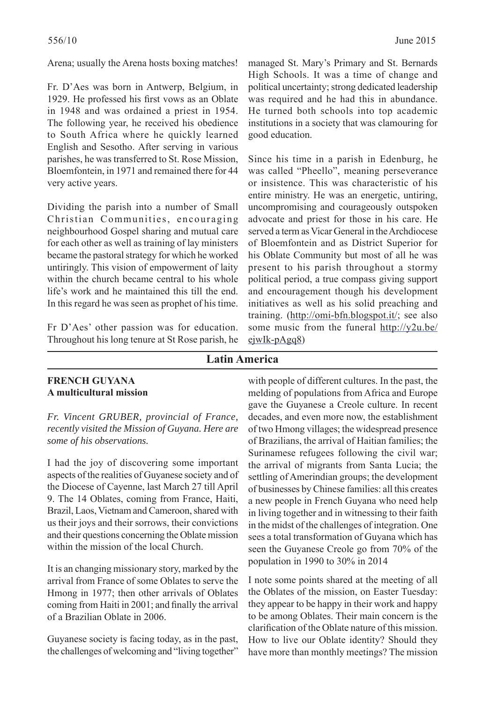Arena; usually the Arena hosts boxing matches!

Fr. D'Aes was born in Antwerp, Belgium, in 1929. He professed his first vows as an Oblate in 1948 and was ordained a priest in 1954. The following year, he received his obedience to South Africa where he quickly learned English and Sesotho. After serving in various parishes, he was transferred to St. Rose Mission, Bloemfontein, in 1971 and remained there for 44 very active years.

Dividing the parish into a number of Small Christian Communities, encouraging neighbourhood Gospel sharing and mutual care for each other as well as training of lay ministers became the pastoral strategy for which he worked untiringly. This vision of empowerment of laity within the church became central to his whole life's work and he maintained this till the end. In this regard he was seen as prophet of his time.

Fr D'Aes' other passion was for education. Throughout his long tenure at St Rose parish, he

managed St. Mary's Primary and St. Bernards High Schools. It was a time of change and political uncertainty; strong dedicated leadership was required and he had this in abundance. He turned both schools into top academic institutions in a society that was clamouring for good education.

Since his time in a parish in Edenburg, he was called "Pheello", meaning perseverance or insistence. This was characteristic of his entire ministry. He was an energetic, untiring, uncompromising and courageously outspoken advocate and priest for those in his care. He served a term as Vicar General in the Archdiocese of Bloemfontein and as District Superior for his Oblate Community but most of all he was present to his parish throughout a stormy political period, a true compass giving support and encouragement though his development initiatives as well as his solid preaching and training. (http://omi-bfn.blogspot.it/; see also some music from the funeral http://y2u.be/ ejwIk-pAgq8)

### **Latin America**

#### **FRENCH GUYANA A multicultural mission**

*Fr. Vincent GRUBER, provincial of France, recently visited the Mission of Guyana. Here are some of his observations.*

I had the joy of discovering some important aspects of the realities of Guyanese society and of the Diocese of Cayenne, last March 27 till April 9. The 14 Oblates, coming from France, Haiti, Brazil, Laos, Vietnam and Cameroon, shared with us their joys and their sorrows, their convictions and their questions concerning the Oblate mission within the mission of the local Church.

It is an changing missionary story, marked by the arrival from France of some Oblates to serve the Hmong in 1977; then other arrivals of Oblates coming from Haiti in 2001; and finally the arrival of a Brazilian Oblate in 2006.

Guyanese society is facing today, as in the past, the challenges of welcoming and "living together"

with people of different cultures. In the past, the melding of populations from Africa and Europe gave the Guyanese a Creole culture. In recent decades, and even more now, the establishment of two Hmong villages; the widespread presence of Brazilians, the arrival of Haitian families; the Surinamese refugees following the civil war; the arrival of migrants from Santa Lucia; the settling of Amerindian groups; the development of businesses by Chinese families: all this creates a new people in French Guyana who need help in living together and in witnessing to their faith in the midst of the challenges of integration. One sees a total transformation of Guyana which has seen the Guyanese Creole go from 70% of the population in 1990 to 30% in 2014

I note some points shared at the meeting of all the Oblates of the mission, on Easter Tuesday: they appear to be happy in their work and happy to be among Oblates. Their main concern is the clarification of the Oblate nature of this mission. How to live our Oblate identity? Should they have more than monthly meetings? The mission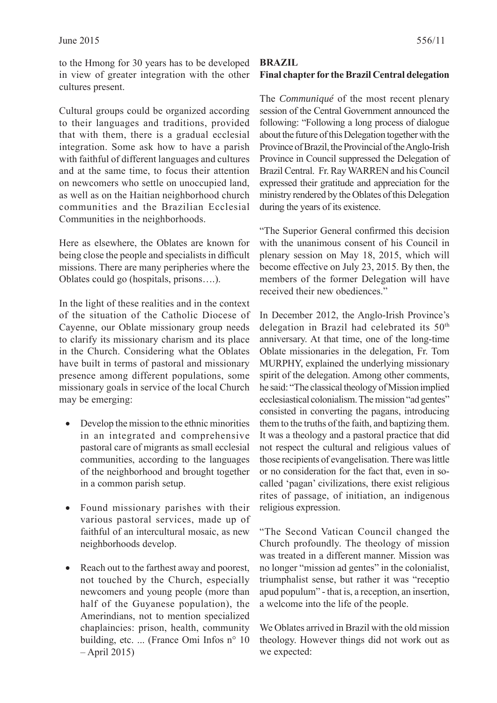to the Hmong for 30 years has to be developed in view of greater integration with the other cultures present.

Cultural groups could be organized according to their languages and traditions, provided that with them, there is a gradual ecclesial integration. Some ask how to have a parish with faithful of different languages and cultures and at the same time, to focus their attention on newcomers who settle on unoccupied land, as well as on the Haitian neighborhood church communities and the Brazilian Ecclesial Communities in the neighborhoods.

Here as elsewhere, the Oblates are known for being close the people and specialists in difficult missions. There are many peripheries where the Oblates could go (hospitals, prisons….).

In the light of these realities and in the context of the situation of the Catholic Diocese of Cayenne, our Oblate missionary group needs to clarify its missionary charism and its place in the Church. Considering what the Oblates have built in terms of pastoral and missionary presence among different populations, some missionary goals in service of the local Church may be emerging:

- Develop the mission to the ethnic minorities in an integrated and comprehensive pastoral care of migrants as small ecclesial communities, according to the languages of the neighborhood and brought together in a common parish setup.
- Found missionary parishes with their various pastoral services, made up of faithful of an intercultural mosaic, as new neighborhoods develop.
- Reach out to the farthest away and poorest, not touched by the Church, especially newcomers and young people (more than half of the Guyanese population), the Amerindians, not to mention specialized chaplaincies: prison, health, community building, etc. ... (France Omi Infos n° 10 – April 2015)

# **BRAZIL Final chapter for the Brazil Central delegation**

The *Communiqué* of the most recent plenary session of the Central Government announced the following: "Following a long process of dialogue about the future of this Delegation together with the Province of Brazil, the Provincial of the Anglo-Irish Province in Council suppressed the Delegation of Brazil Central. Fr. Ray WARREN and his Council expressed their gratitude and appreciation for the ministry rendered by the Oblates of this Delegation during the years of its existence.

"The Superior General confirmed this decision with the unanimous consent of his Council in plenary session on May 18, 2015, which will become effective on July 23, 2015. By then, the members of the former Delegation will have received their new obediences."

In December 2012, the Anglo-Irish Province's delegation in Brazil had celebrated its 50<sup>th</sup> anniversary. At that time, one of the long-time Oblate missionaries in the delegation, Fr. Tom MURPHY, explained the underlying missionary spirit of the delegation. Among other comments, he said: "The classical theology of Mission implied ecclesiastical colonialism. The mission "ad gentes" consisted in converting the pagans, introducing them to the truths of the faith, and baptizing them. It was a theology and a pastoral practice that did not respect the cultural and religious values of those recipients of evangelisation. There was little or no consideration for the fact that, even in socalled 'pagan' civilizations, there exist religious rites of passage, of initiation, an indigenous religious expression.

"The Second Vatican Council changed the Church profoundly. The theology of mission was treated in a different manner. Mission was no longer "mission ad gentes" in the colonialist, triumphalist sense, but rather it was "receptio apud populum" - that is, a reception, an insertion, a welcome into the life of the people.

We Oblates arrived in Brazil with the old mission theology. However things did not work out as we expected: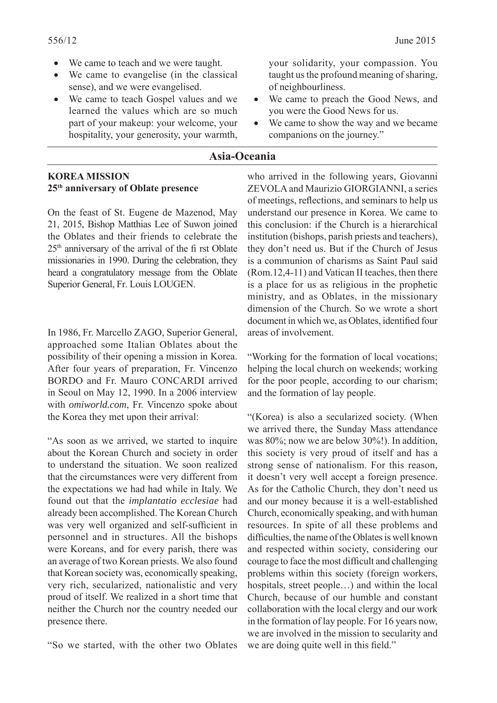- We came to teach and we were taught.
- We came to evangelise (in the classical sense), and we were evangelised.
- We came to teach Gospel values and we learned the values which are so much part of your makeup: your welcome, your hospitality, your generosity, your warmth,

your solidarity, your compassion. You taught us the profound meaning of sharing, of neighbourliness.

- We came to preach the Good News, and you were the Good News for us.
- We came to show the way and we became companions on the journey."

#### **Asia-Oceania**

#### **KOREA MISSION 25th anniversary of Oblate presence**

On the feast of St. Eugene de Mazenod, May 21, 2015, Bishop Matthias Lee of Suwon joined the Oblates and their friends to celebrate the 25 th anniversary of the arrival of the fi rst Oblate missionaries in 1990. During the celebration, they heard a congratulatory message from the Oblate Superior General, Fr. Louis LOUGEN.

In 1986, Fr. Marcello ZAGO, Superior General, approached some Italian Oblates about the possibility of their opening a mission in Korea. After four years of preparation, Fr. Vincenzo BORDO and Fr. Mauro CONCARDI arrived in Seoul on May 12, 1990. In a 2006 interview with *omiworld.com*, Fr. Vincenzo spoke about the Korea they met upon their arrival:

"As soon as we arrived, we started to inquire about the Korean Church and society in order to understand the situation. We soon realized that the circumstances were very different from the expectations we had had while in Italy. We found out that the *implantatio ecclesiae* had already been accomplished. The Korean Church was very well organized and self-sufficient in personnel and in structures. All the bishops were Koreans, and for every parish, there was an average of two Korean priests. We also found that Korean society was, economically speaking, very rich, secularized, nationalistic and very proud of itself. We realized in a short time that neither the Church nor the country needed our presence there.

"So we started, with the other two Oblates

who arrived in the following years, Giovanni ZEVOLA and Maurizio GIORGIANNI, a series of meetings, reflections, and seminars to help us understand our presence in Korea. We came to this conclusion: if the Church is a hierarchical institution (bishops, parish priests and teachers), they don't need us. But if the Church of Jesus is a communion of charisms as Saint Paul said (Rom.12,4-11) and Vatican II teaches, then there is a place for us as religious in the prophetic ministry, and as Oblates, in the missionary dimension of the Church. So we wrote a short document in which we, as Oblates, identified four areas of involvement.

"Working for the formation of local vocations; helping the local church on weekends; working for the poor people, according to our charism; and the formation of lay people.

"(Korea) is also a secularized society. (When we arrived there, the Sunday Mass attendance was 80%; now we are below 30%!). In addition, this society is very proud of itself and has a strong sense of nationalism. For this reason, it doesn't very well accept a foreign presence. As for the Catholic Church, they don't need us and our money because it is a well-established Church, economically speaking, and with human resources. In spite of all these problems and difficulties, the name of the Oblates is well known and respected within society, considering our courage to face the most difficult and challenging problems within this society (foreign workers, hospitals, street people…) and within the local Church, because of our humble and constant collaboration with the local clergy and our work in the formation of lay people. For 16 years now, we are involved in the mission to secularity and we are doing quite well in this field."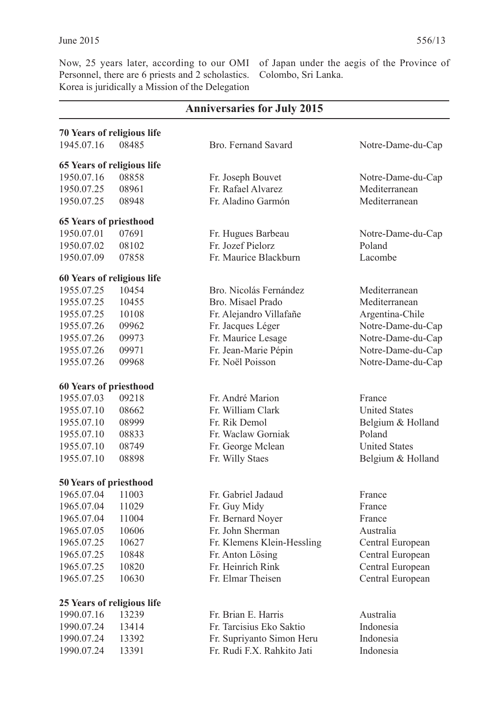Now, 25 years later, according to our OMI Personnel, there are 6 priests and 2 scholastics. Korea is juridically a Mission of the Delegation

of Japan under the aegis of the Province of Colombo, Sri Lanka.

| <b>Anniversaries for July 2015</b> |                            |                            |                      |  |
|------------------------------------|----------------------------|----------------------------|----------------------|--|
|                                    | 70 Years of religious life |                            |                      |  |
| 1945.07.16                         | 08485                      | Bro. Fernand Savard        | Notre-Dame-du-Cap    |  |
| 65 Years of religious life         |                            |                            |                      |  |
| 1950.07.16                         | 08858                      | Fr. Joseph Bouvet          | Notre-Dame-du-Cap    |  |
| 1950.07.25                         | 08961                      | Fr. Rafael Alvarez         | Mediterranean        |  |
| 1950.07.25                         | 08948                      | Fr. Aladino Garmón         | Mediterranean        |  |
| <b>65 Years of priesthood</b>      |                            |                            |                      |  |
| 1950.07.01                         | 07691                      | Fr. Hugues Barbeau         | Notre-Dame-du-Cap    |  |
| 1950.07.02                         | 08102                      | Fr. Jozef Pielorz          | Poland               |  |
| 1950.07.09                         | 07858                      | Fr. Maurice Blackburn      | Lacombe              |  |
| 60 Years of religious life         |                            |                            |                      |  |
| 1955.07.25                         | 10454                      | Bro. Nicolás Fernández     | Mediterranean        |  |
| 1955.07.25                         | 10455                      | Bro. Misael Prado          | Mediterranean        |  |
| 1955.07.25                         | 10108                      | Fr. Alejandro Villafañe    | Argentina-Chile      |  |
| 1955.07.26                         | 09962                      | Fr. Jacques Léger          | Notre-Dame-du-Cap    |  |
| 1955.07.26                         | 09973                      | Fr. Maurice Lesage         | Notre-Dame-du-Cap    |  |
| 1955.07.26                         | 09971                      | Fr. Jean-Marie Pépin       | Notre-Dame-du-Cap    |  |
| 1955.07.26                         | 09968                      | Fr. Noël Poisson           | Notre-Dame-du-Cap    |  |
| 60 Years of priesthood             |                            |                            |                      |  |
| 1955.07.03                         | 09218                      | Fr. André Marion           | France               |  |
| 1955.07.10                         | 08662                      | Fr. William Clark          | <b>United States</b> |  |
| 1955.07.10                         | 08999                      | Fr. Rik Demol              | Belgium & Holland    |  |
| 1955.07.10                         | 08833                      | Fr. Waclaw Gorniak         | Poland               |  |
| 1955.07.10                         | 08749                      | Fr. George Mclean          | <b>United States</b> |  |
| 1955.07.10                         | 08898                      | Fr. Willy Staes            | Belgium & Holland    |  |
|                                    |                            |                            |                      |  |
| 50 Years of priesthood             |                            |                            |                      |  |
| 1965.07.04                         | 11003                      | Fr. Gabriel Jadaud         | France               |  |
| 1965.07.04                         | 11029                      | Fr. Guy Midy               | France               |  |
| 1965.07.04                         | 11004                      | Fr. Bernard Noyer          | France               |  |
| 1965.07.05                         | 10606                      | Fr. John Sherman           | Australia            |  |
| 1965.07.25                         | 10627                      | Fr. Klemens Klein-Hessling | Central European     |  |
| 1965.07.25                         | 10848                      | Fr. Anton Lösing           | Central European     |  |
| 1965.07.25                         | 10820                      | Fr. Heinrich Rink          | Central European     |  |
| 1965.07.25                         | 10630                      | Fr. Elmar Theisen          | Central European     |  |
| 25 Years of religious life         |                            |                            |                      |  |
| 1990.07.16                         | 13239                      | Fr. Brian E. Harris        | Australia            |  |
| 1990.07.24                         | 13414                      | Fr. Tarcisius Eko Saktio   | Indonesia            |  |
| 1990.07.24                         | 13392                      | Fr. Supriyanto Simon Heru  | Indonesia            |  |
| 1990.07.24                         | 13391                      | Fr. Rudi F.X. Rahkito Jati | Indonesia            |  |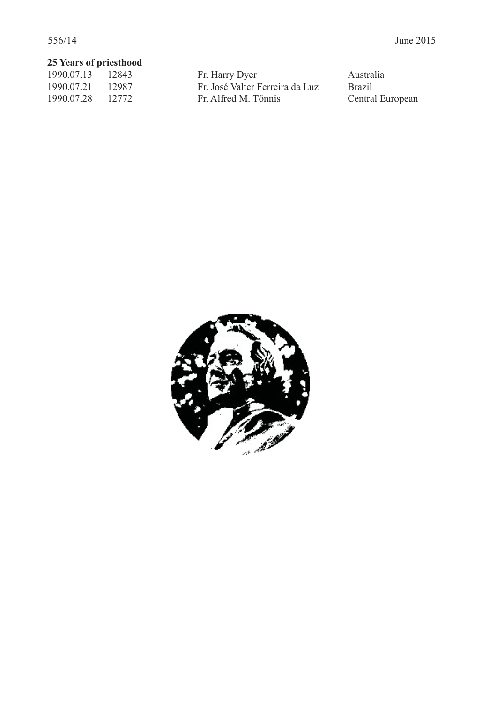# **25 Years of priesthood**<br>1990.07.13 12843

1990.07.13 12843 Fr. Harry Dyer Australia<br>1990.07.21 12987 Fr. José Valter Ferreira da Luz Brazil 1990.07.21 12987 Fr. José Valter Ferreira da Luz Brazil<br>1990.07.28 12772 Fr. Alfred M. Tönnis Central European Fr. Alfred M. Tönnis